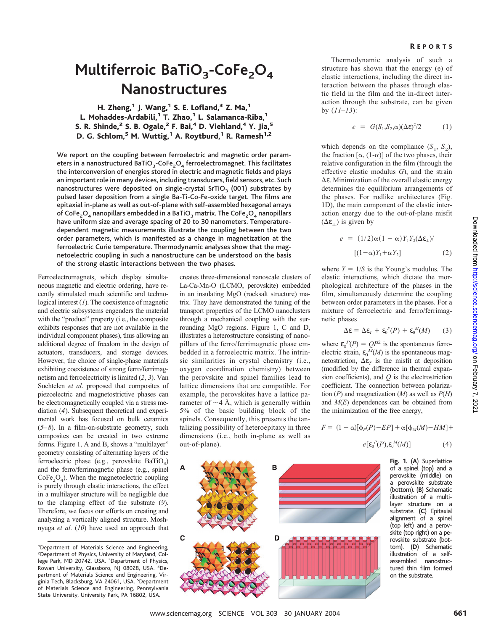## **Multiferroic BaTiO<sub>3</sub>-CoFe<sub>2</sub>O<sub>4</sub> Nanostructures**

H. Zheng, $1$  J. Wang, $1$  S. E. Lofland, $3$  Z. Ma, $1$ L. Mohaddes-Ardabili,<sup>1</sup> T. Zhao,<sup>1</sup> L. Salamanca-Riba,<sup>1</sup> S. R. Shinde,<sup>2</sup> S. B. Ogale,<sup>2</sup> F. Bai,<sup>4</sup> D. Viehland,<sup>4</sup> Y. Jia,<sup>5</sup> D. G. Schlom,<sup>5</sup> M. Wuttig,<sup>1</sup> A. Roytburd,<sup>1</sup> R. Ramesh<sup>1,2</sup>

We report on the coupling between ferroelectric and magnetic order parameters in a nanostructured BaTiO<sub>3</sub>-CoFe<sub>2</sub>O<sub>4</sub> ferroelectromagnet. This facilitates the interconversion of energies stored in electric and magnetic fields and plays an important role in many devices, including transducers, field sensors, etc. Such nanostructures were deposited on single-crystal SrTiO<sub>3</sub> (001) substrates by pulsed laser deposition from a single Ba-Ti-Co-Fe-oxide target. The films are epitaxial in-plane as well as out-of-plane with self-assembled hexagonal arrays of CoFe<sub>2</sub>O<sub>4</sub> nanopillars embedded in a BaTiO<sub>3</sub> matrix. The CoFe<sub>2</sub>O<sub>4</sub> nanopillars have uniform size and average spacing of 20 to 30 nanometers. Temperaturedependent magnetic measurements illustrate the coupling between the two order parameters, which is manifested as a change in magnetization at the ferroelectric Curie temperature. Thermodynamic analyses show that the magnetoelectric coupling in such a nanostructure can be understood on the basis of the strong elastic interactions between the two phases.

A

 $\mathbf c$ 

Ferroelectromagnets, which display simultaneous magnetic and electric ordering, have recently stimulated much scientific and technological interest (*1*). The coexistence of magnetic and electric subsystems engenders the material with the "product" property (i.e., the composite exhibits responses that are not available in the individual component phases), thus allowing an additional degree of freedom in the design of actuators, transducers, and storage devices. However, the choice of single-phase materials exhibiting coexistence of strong ferro/ferrimagnetism and ferroelectricity is limited (*2*, *3*). Van Suchtelen *et al*. proposed that composites of piezoelectric and magnetostrictive phases can be electromagnetically coupled via a stress mediation (*4*). Subsequent theoretical and experimental work has focused on bulk ceramics (*5–8*). In a film-on-substrate geometry, such composites can be created in two extreme forms. Figure 1, A and B, shows a "multilayer" geometry consisting of alternating layers of the ferroelectric phase (e.g., perovskite  $BaTiO<sub>3</sub>$ ) and the ferro/ferrimagnetic phase (e.g., spinel  $CoFe<sub>2</sub>O<sub>4</sub>$ ). When the magnetoelectric coupling is purely through elastic interactions, the effect in a multilayer structure will be negligible due to the clamping effect of the substrate (*9*). Therefore, we focus our efforts on creating and analyzing a vertically aligned structure. Moshnyaga *et al*. (*10*) have used an approach that

creates three-dimensional nanoscale clusters of La-Ca-Mn-O (LCMO, perovskite) embedded in an insulating MgO (rocksalt structure) matrix. They have demonstrated the tuning of the transport properties of the LCMO nanoclusters through a mechanical coupling with the surrounding MgO regions. Figure 1, C and D, illustrates a heterostructure consisting of nanopillars of the ferro/ferrimagnetic phase embedded in a ferroelectric matrix. The intrinsic similarities in crystal chemistry (i.e., oxygen coordination chemistry) between the perovskite and spinel families lead to lattice dimensions that are compatible. For example, the perovskites have a lattice parameter of  $\sim$ 4 Å, which is generally within 5% of the basic building block of the spinels. Consequently, this presents the tantalizing possibility of heteroepitaxy in three dimensions (i.e., both in-plane as well as out-of-plane).

B

D



$$
e = G(S_1, S_2, \alpha)(\Delta \varepsilon)^2/2 \tag{1}
$$

which depends on the compliance  $(S_1, S_2)$ , the fraction  $[\alpha, (1-\alpha)]$  of the two phases, their relative configuration in the film (through the effective elastic modulus *G*), and the strain  $\Delta \varepsilon$ . Minimization of the overall elastic energy determines the equilibrium arrangements of the phases. For rodlike architectures (Fig. 1D), the main component of the elastic interaction energy due to the out-of-plane misfit  $(\Delta \varepsilon_+)$  is given by

$$
e = (1/2)\alpha(1-\alpha)Y_1Y_2(\Delta \varepsilon_{\perp})/ \qquad (1-\alpha)Y_1+\alpha Y_2]
$$
 (2)

where  $Y = 1/S$  is the Young's modulus. The elastic interactions, which dictate the morphological architecture of the phases in the film, simultaneously determine the coupling between order parameters in the phases. For a mixture of ferroelectric and ferro/ferrimagnetic phases

$$
\Delta \varepsilon = \Delta \varepsilon_T + \varepsilon_0^P(P) + \varepsilon_0^M(M) \qquad (3)
$$

where  $\varepsilon_0^P(P) = QP^2$  is the spontaneous ferroelectric strain,  $\varepsilon_0^M(M)$  is the spontaneous magnetostriction,  $\Delta \varepsilon_T$  is the misfit at deposition (modified by the difference in thermal expansion coefficients), and *Q* is the electrostriction coefficient. The connection between polarization  $(P)$  and magnetization  $(M)$  as well as  $P(H)$ and *M*(*E*) dependences can be obtained from the minimization of the free energy,

 $F = (1 - \alpha)[\Phi_P(P) - EP] + \alpha[\Phi_M(M) - HM] +$ 

$$
e[\mathbf{\varepsilon}_{0}^{P}(P),\mathbf{\varepsilon}_{0}^{M}(M)] \tag{4}
$$

**Fig. 1.** (**A**) Superlattice of a spinel (top) and a perovskite (middle) on a perovskite substrate (bottom). (**B**) Schematic illustration of a multilayer structure on a substrate. (**C**) Epitaxial alignment of a spinel (top left) and a perovskite (top right) on a perovskite substrate (bottom). (**D**) Schematic illustration of a selfassembled nanostructured thin film formed on the substrate.

<sup>&</sup>lt;sup>1</sup>Department of Materials Science and Engineering, 2 Department of Physics, University of Maryland, College Park, MD 20742, USA. <sup>3</sup>Department of Physics, Rowan University, Glassboro, NJ 08028, USA. <sup>4</sup>Department of Materials Science and Engineering, Virginia Tech, Blacksburg, VA 24061, USA. <sup>5</sup>Department of Materials Science and Engineering, Pennsylvania State University, University Park, PA 16802, USA.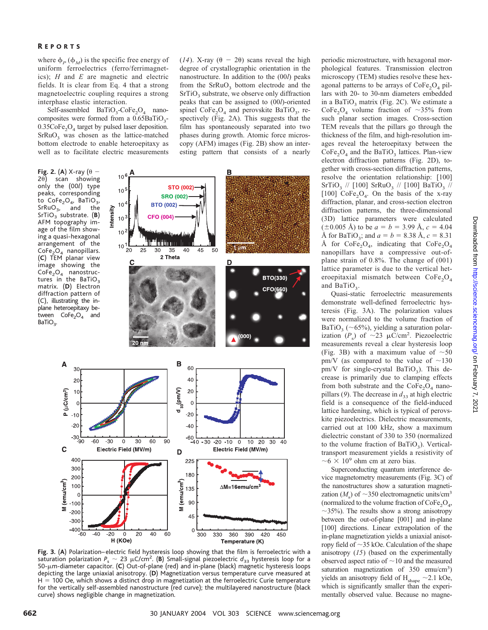where  $\phi_P(\phi_M)$  is the specific free energy of uniform ferroelectrics (ferro/ferrimagnetics); *H* and *E* are magnetic and electric fields. It is clear from Eq. 4 that a strong magnetoelectric coupling requires a strong interphase elastic interaction.

Self-assembled  $BaTiO_3$ -CoFe<sub>2</sub>O<sub>4</sub> nanocomposites were formed from a  $0.65BaTiO<sub>3</sub>$ - $0.35CoFe<sub>2</sub>O<sub>4</sub>$  target by pulsed laser deposition.  $SrRuO<sub>3</sub>$  was chosen as the lattice-matched bottom electrode to enable heteroepitaxy as well as to facilitate electric measurements

**Fig. 2.** (A) X-ray ( $\theta$  - $2\theta$ ) scan showing only the (00*l*) type peaks, corresponding to  $\text{CoFe}_2\text{O}_4$ , BaTiO<sub>3</sub>,<br>SrRuO<sub>3</sub>, and the  $SrRuO<sub>3</sub>$ , SrTiO<sub>3</sub> substrate. (B) AFM topography image of the film showing a quasi-hexagonal arrangement of the  $CoFe<sub>2</sub>O<sub>4</sub>$  nanopillars. (**C**) TEM planar view image showing the  $CoFe<sub>2</sub>O<sub>4</sub>$  nanostructures in the BaTiO<sub>3</sub> matrix. (**D**) Electron diffraction pattern of (C), illustrating the inplane heteroepitaxy between  $CoFe<sub>2</sub>O<sub>4</sub>$  and  $BaTiO<sub>3</sub>$ .

Α

C

(emu/cm<sup>3</sup>)

Ξ



**Fig. 3.** (**A**) Polarization– electric field hysteresis loop showing that the film is ferroelectric with a saturation polarization  $P_s \sim 23 \mu C/cm^2$ . (**B**) Small-signal piezoelectric  $d_{33}$  hysteresis loop for a 50- m-diameter capacitor. (**C**) Out-of-plane (red) and in-plane (black) magnetic hysteresis loops depicting the large uniaxial anisotropy. (**D**) Magnetization versus temperature curve measured at H = 100 Oe, which shows a distinct drop in magnetization at the ferroelectric Curie temperature for the vertically self-assembled nanostructure (red curve); the multilayered nanostructure (black curve) shows negligible change in magnetization.

periodic microstructure, with hexagonal morphological features. Transmission electron microscopy (TEM) studies resolve these hexagonal patterns to be arrays of  $\text{CoFe}_2\text{O}_4$  pillars with 20- to 30-nm diameters embedded in a BaTiO<sub>3</sub> matrix (Fig. 2C). We estimate a CoFe<sub>2</sub>O<sub>4</sub> volume fraction of  $\sim$ 35% from such planar section images. Cross-section TEM reveals that the pillars go through the thickness of the film, and high-resolution images reveal the heteroepitaxy between the  $CoFe<sub>2</sub>O<sub>4</sub>$  and the BaTiO<sub>3</sub> lattices. Plan-view electron diffraction patterns (Fig. 2D), together with cross-section diffraction patterns, resolve the orientation relationship: [100]  $SrTiO<sub>3</sub>$  // [100]  $SrRuO<sub>3</sub>$  // [100]  $BaTiO<sub>3</sub>$  // [100] CoFe<sub>2</sub>O<sub>4</sub>. On the basis of the x-ray diffraction, planar, and cross-section electron diffraction patterns, the three-dimensional (3D) lattice parameters were calculated  $(\pm 0.005 \text{ Å})$  to be  $a = b = 3.99 \text{ Å}, c = 4.04$ Å for BaTiO<sub>3</sub>; and  $a = b = 8.38$  Å,  $c = 8.31$ Å for  $\text{CoFe}_2\text{O}_4$ , indicating that  $\text{CoFe}_2\text{O}_4$ nanopillars have a compressive out-ofplane strain of 0.8%. The change of (001) lattice parameter is due to the vertical heteroepitaxial mismatch between  $CoFe<sub>2</sub>O<sub>4</sub>$ and BaTiO<sub>3</sub>.

Quasi-static ferroelectric measurements demonstrate well-defined ferroelectric hysteresis (Fig. 3A). The polarization values were normalized to the volume fraction of BaTiO<sub>3</sub> ( $\sim$ 65%), yielding a saturation polarization  $(P_s)$  of  $\sim$ 23  $\mu$ C/cm<sup>2</sup>. Piezoelectric measurements reveal a clear hysteresis loop (Fig. 3B) with a maximum value of  $\sim 50$ pm/V (as compared to the value of  $\sim$ 130 pm/V for single-crystal BaTiO<sub>3</sub>). This decrease is primarily due to clamping effects from both substrate and the  $CoFe<sub>2</sub>O<sub>4</sub>$  nanopillars (9). The decrease in  $d_{33}$  at high electric field is a consequence of the field-induced lattice hardening, which is typical of perovskite piezoelectrics. Dielectric measurements, carried out at 100 kHz, show a maximum dielectric constant of 330 to 350 (normalized to the volume fraction of  $BaTiO<sub>3</sub>$ ). Verticaltransport measurement yields a resistivity of  $~0.6 \times 10^9$  ohm cm at zero bias.

Superconducting quantum interference device magnetometry measurements (Fig. 3C) of the nanostructures show a saturation magnetization  $(M<sub>s</sub>)$  of  $\sim$ 350 electromagnetic units/cm<sup>3</sup> (normalized to the volume fraction of  $\text{CoFe}_2\text{O}_4$ ,  $\sim$ 35%). The results show a strong anisotropy between the out-of-plane [001] and in-plane [100] directions. Linear extrapolation of the in-plane magnetization yields a uniaxial anisotropy field of  $\sim$ 35 kOe. Calculation of the shape anisotropy (*15*) (based on the experimentally observed aspect ratio of  $\sim$  10 and the measured saturation magnetization of 350 emu/cm<sup>3</sup>) yields an anisotropy field of  $H_{shape} \sim 2.1$  kOe, which is significantly smaller than the experimentally observed value. Because no magne-

(14). X-ray  $(\theta - 2\theta)$  scans reveal the high degree of crystallographic orientation in the nanostructure. In addition to the (00*l*) peaks from the  $SFRuO<sub>3</sub>$  bottom electrode and the  $SrTiO<sub>3</sub>$  substrate, we observe only diffraction peaks that can be assigned to (00*l*)-oriented spinel  $\text{CoFe}_2\text{O}_4$  and perovskite BaTiO<sub>3</sub>, respectively (Fig. 2A). This suggests that the film has spontaneously separated into two phases during growth. Atomic force microscopy (AFM) images (Fig. 2B) show an interesting pattern that consists of a nearly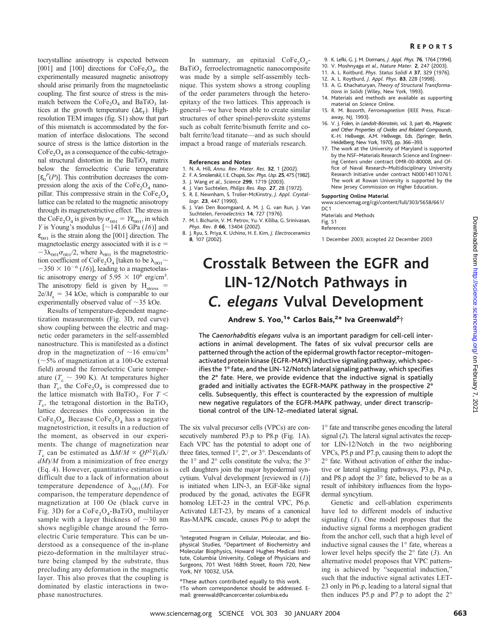#### R EPORTS

tocrystalline anisotropy is expected between [001] and [100] directions for  $\text{CoFe}_2\text{O}_4$ , the experimentally measured magnetic anisotropy should arise primarily from the magnetoelastic coupling. The first source of stress is the mismatch between the  $CoFe<sub>2</sub>O<sub>4</sub>$  and BaTiO<sub>3</sub> lattices at the growth temperature ( $\Delta \varepsilon_{\rm T}$ ). Highresolution TEM images (fig. S1) show that part of this mismatch is accommodated by the formation of interface dislocations. The second source of stress is the lattice distortion in the  $\text{CoFe}_2\text{O}_4$  as a consequence of the cubic-tetragonal structural distortion in the BaTiO<sub>3</sub> matrix below the ferroelectric Curie temperature  $[\varepsilon_0^P(P)]$ . This contribution decreases the compression along the axis of the  $CoFe<sub>2</sub>O<sub>4</sub>$  nanopillar. This compressive strain in the CoFe<sub>2</sub>O<sub>4</sub> lattice can be related to the magnetic anisotropy through its magnetostrictive effect. The stress in the CoFe<sub>2</sub>O<sub>4</sub> is given by  $\sigma_{001} = Y \varepsilon_{001}$ , in which *Y* is Young's modulus  $[\sim]141.6$  GPa (*16*)] and  $\epsilon_{001}$  is the strain along the [001] direction. The magnetoelastic energy associated with it is e  $-3\lambda_{001}\sigma_{001}/2$ , where  $\lambda_{001}$  is the magnetostriction coefficient of CoFe<sub>2</sub>O<sub>4</sub> [taken to be  $\lambda_{001}$  ~  $-350 \times 10^{-6}$  (16)], leading to a magnetoelastic anisotropy energy of  $5.95 \times 10^6$  erg/cm<sup>3</sup>. The anisotropy field is given by  $H<sub>stress</sub>$  =  $2e/M_s = 34$  kOe, which is comparable to our experimentally observed value of  $\sim$ 35 kOe.

Results of temperature-dependent magnetization measurements (Fig. 3D, red curve) show coupling between the electric and magnetic order parameters in the self-assembled nanostructure. This is manifested as a distinct drop in the magnetization of  $\sim 16$  emu/cm<sup>3</sup>  $(\sim 5\%$  of magnetization at a 100-Oe external field) around the ferroelectric Curie temperature  $(T_c \sim 390 \text{ K})$ . At temperatures higher than  $T_c$ , the CoFe<sub>2</sub>O<sub>4</sub> is compressed due to the lattice mismatch with BaTiO<sub>3</sub>. For  $T <$  $T_c$ , the tetragonal distortion in the BaTiO<sub>3</sub> lattice decreases this compression in the  $CoFe<sub>2</sub>O<sub>4</sub>$ . Because  $CoFe<sub>2</sub>O<sub>4</sub>$  has a negative magnetostriction, it results in a reduction of the moment, as observed in our experiments. The change of magnetization near  $T_c$  can be estimated as  $\Delta M/M \propto QP^2Y(d\lambda)$ *dM*)/*M* from a minimization of free energy (Eq. 4). However, quantitative estimation is difficult due to a lack of information about temperature dependence of  $\lambda_{001}(M)$ . For comparison, the temperature dependence of magnetization at 100 Oe (black curve in Fig. 3D) for a  $\text{CoFe}_2\text{O}_4\text{-BaTiO}_3$  multilayer sample with a layer thickness of  $\sim$ 30 nm shows negligible change around the ferroelectric Curie temperature. This can be understood as a consequence of the in-plane piezo-deformation in the multilayer structure being clamped by the substrate, thus precluding any deformation in the magnetic layer. This also proves that the coupling is dominated by elastic interactions in twophase nanostructures.

In summary, an epitaxial  $CoFe<sub>2</sub>O<sub>4</sub>$ -BaTiO<sub>3</sub> ferroelectromagnetic nanocomposite was made by a simple self-assembly technique. This system shows a strong coupling of the order parameters through the heteroepitaxy of the two lattices. This approach is general—we have been able to create similar structures of other spinel-perovskite systems such as cobalt ferrite/bismuth ferrite and cobalt ferrite/lead titanate—and as such should impact a broad range of materials research.

#### **References and Notes**

- 1. N. A. Hill, *Annu. Rev. Mater. Res.* **32**, 1 (2002).
- 2. F. A. Smolenskiı˘, I. E. Chupis, *Sov. Phys. Usp*. **25**, 475 (1982).
- 3. J. Wang *et al*., *Science* **299**, 1719 (2003).
- 4. J. Van Suchtelen, *Philips Res. Rep.* **27**, 28 (1972). 5. R. E. Newnham, S. Trolier-McKinstry, *J. Appl. Crystallogr.* **23**, 447(1990).
- 6. J. Van Den Boomgaard, A. M. J. G. van Run, J. Van Suchtelen, *Ferroelectrics* **14**, 727 (1976). 7. M. I. Bichurin, V. M. Petrov, Yu. V. Kiliba, G. Srinivasan,
- *Phys. Rev. B* **66**, 13404 (2002). 8. J. Ryu, S. Priya, K. Uchino, H. E. Kim, *J. Electroceramics*
- **8**, 107(2002).
- 9. K. Lefki, G. J. M. Dormans, *J. Appl. Phys.* **76**, 1764 (1994).
- 10. V. Moshnyaga *et al*., *Nature Mater.* **2**, 247(2003).
- 11. A. L. Roitburd, *Phys. Status Solidi A* **37**, 329 (1976).
- 12. A. L. Roytburd, *J. Appl. Phys.* **83**, 228 (1998).
- 13. A. G. Khachaturyan, *Theory of Structural Transforma-*
- *tions in Solids* (Wiley, New York, 1993). 14. Materials and methods are available as supporting material on *Science* Online.
- 15. R. M. Bozorth, *Ferromagnetism* (IEEE Press, Piscataway, NJ, 1993).
- 16. V. J. Folen, in *Landolt-Börnstein*, vol. 3, part 4b, Magnetic *and Other Properties of Oxides and Related Compounds*, K.-H. Hellwege, A.M. Hellwege, Eds. (Springer, Berlin, Heidelberg, New York, 1970), pp. 366–393.
- 17. The work at the University of Maryland is supported by the NSF–Materials Research Science and Engineering Centers under contract DMR-00-80008, and Office of Naval Research–Multidisciplinary University Research Initiative under contract N000140110761. The work at Rowan University is supported by the New Jersey Commission on Higher Education.

#### **Supporting Online Material**

www.sciencemag.org/cgi/content/full/303/5658/661/  $DC1$ 

Materials and Methods Fig. S1 References

1 December 2003; accepted 22 December 2003

# **Crosstalk Between the EGFR and LIN-12/Notch Pathways in** *C. elegans* **Vulval Development**

### Andrew S. Yoo,<sup>1</sup>\* Carlos Bais,<sup>2</sup>\* Iva Greenwald<sup>2</sup>†

The *Caenorhabditis elegans* vulva is an important paradigm for cell-cell interactions in animal development. The fates of six vulval precursor cells are patterned through the action of the epidermal growth factor receptor–mitogenactivated protein kinase (EGFR-MAPK) inductive signaling pathway, which specifies the 1° fate, and the LIN-12/Notch lateral signaling pathway, which specifies the 2° fate. Here, we provide evidence that the inductive signal is spatially graded and initially activates the EGFR-MAPK pathway in the prospective 2° cells. Subsequently, this effect is counteracted by the expression of multiple new negative regulators of the EGFR-MAPK pathway, under direct transcriptional control of the LIN-12–mediated lateral signal.

The six vulval precursor cells (VPCs) are consecutively numbered P3.p to P8.p (Fig. 1A). Each VPC has the potential to adopt one of three fates, termed 1°, 2°, or 3°. Descendants of the 1° and 2° cells constitute the vulva; the 3° cell daughters join the major hypodermal syncytium. Vulval development [reviewed in (*1*)] is initiated when LIN-3, an EGF-like signal produced by the gonad, activates the EGFR homolog LET-23 in the central VPC, P6.p. Activated LET-23, by means of a canonical Ras-MAPK cascade, causes P6.p to adopt the

1° fate and transcribe genes encoding the lateral signal (*2*). The lateral signal activates the receptor LIN-12/Notch in the two neighboring VPCs, P5.p and P7.p, causing them to adopt the 2° fate. Without activation of either the inductive or lateral signaling pathways, P3.p, P4.p, and P8.p adopt the 3° fate, believed to be as a result of inhibitory influences from the hypodermal syncytium.

Genetic and cell-ablation experiments have led to different models of inductive signaling (*1*). One model proposes that the inductive signal forms a morphogen gradient from the anchor cell, such that a high level of inductive signal causes the 1° fate, whereas a lower level helps specify the 2° fate (*3*). An alternative model proposes that VPC patterning is achieved by "sequential induction," such that the inductive signal activates LET-23 only in P6.p, leading to a lateral signal that then induces P5.p and P7.p to adopt the 2°

<sup>1</sup>Integrated Program in Cellular, Molecular, and Biophysical Studies, <sup>2</sup>Department of Biochemistry and Molecular Biophysics, Howard Hughes Medical Institute, Columbia University, College of Physicians and Surgeons, 701 West 168th Street, Room 720, New York, NY 10032, USA.

<sup>\*</sup>These authors contributed equally to this work. †To whom correspondence should be addressed. Email: greenwald@cancercenter.columbia.edu